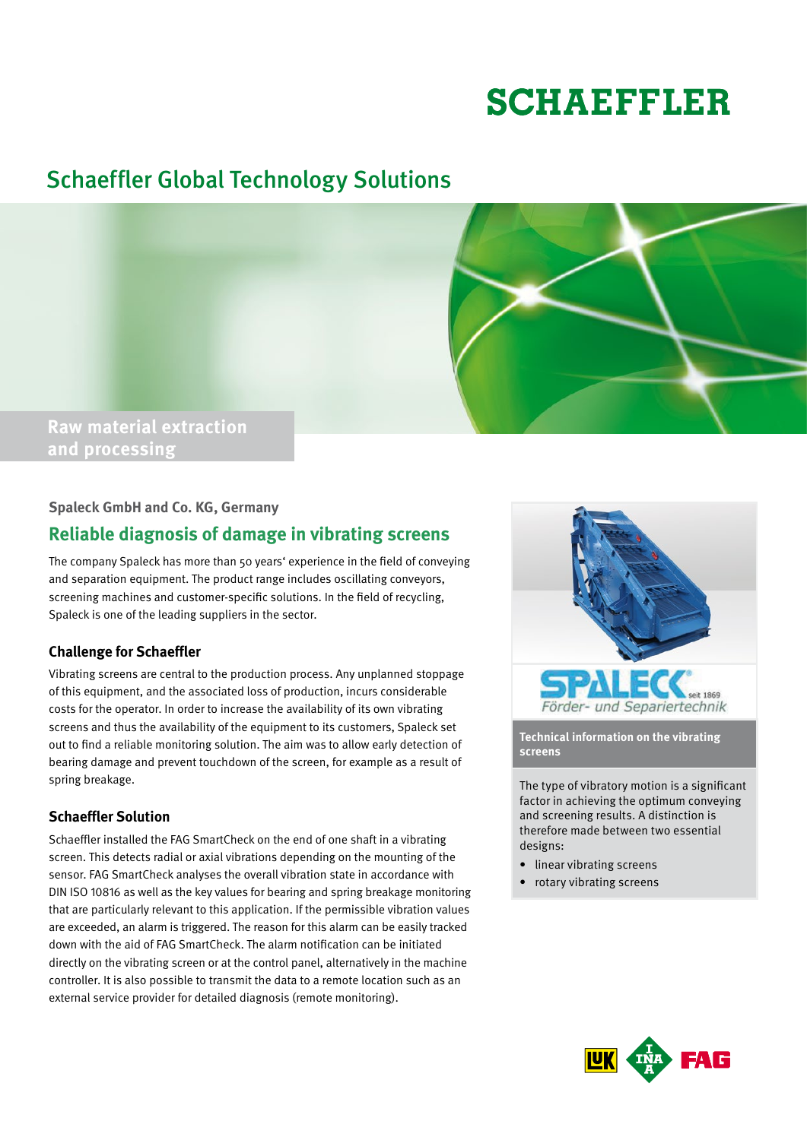# **SCHAEFFLER**

# Schaeffler Global Technology Solutions



### **Spaleck GmbH and Co. KG, Germany**

## **Reliable diagnosis of damage in vibrating screens**

The company Spaleck has more than 50 years' experience in the field of conveying and separation equipment. The product range includes oscillating conveyors, screening machines and customer-specific solutions. In the field of recycling, Spaleck is one of the leading suppliers in the sector.

### **Challenge for Schaeffler**

Vibrating screens are central to the production process. Any unplanned stoppage of this equipment, and the associated loss of production, incurs considerable costs for the operator. In order to increase the availability of its own vibrating screens and thus the availability of the equipment to its customers, Spaleck set out to find a reliable monitoring solution. The aim was to allow early detection of bearing damage and prevent touchdown of the screen, for example as a result of spring breakage.

### **Schaeffler Solution**

Schaeffler installed the FAG SmartCheck on the end of one shaft in a vibrating screen. This detects radial or axial vibrations depending on the mounting of the sensor. FAG SmartCheck analyses the overall vibration state in accordance with DIN ISO 10816 as well as the key values for bearing and spring breakage monitoring that are particularly relevant to this application. If the permissible vibration values are exceeded, an alarm is triggered. The reason for this alarm can be easily tracked down with the aid of FAG SmartCheck. The alarm notification can be initiated directly on the vibrating screen or at the control panel, alternatively in the machine controller. It is also possible to transmit the data to a remote location such as an external service provider for detailed diagnosis (remote monitoring).



**Technical information on the vibrating screens**

The type of vibratory motion is a significant factor in achieving the optimum conveying and screening results. A distinction is therefore made between two essential designs:

- linear vibrating screens
- rotary vibrating screens